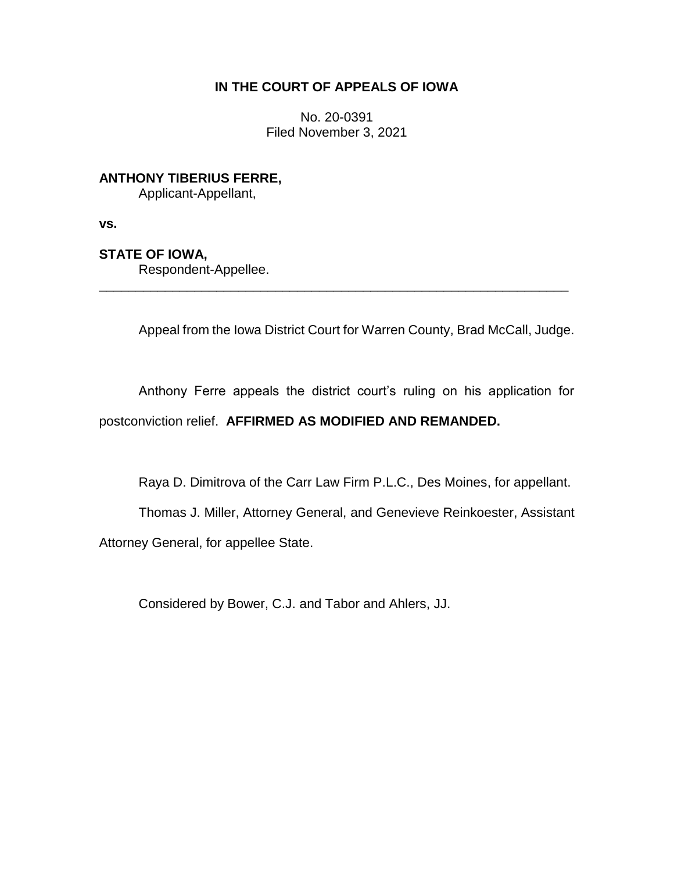## **IN THE COURT OF APPEALS OF IOWA**

No. 20-0391 Filed November 3, 2021

**ANTHONY TIBERIUS FERRE,**

Applicant-Appellant,

**vs.**

# **STATE OF IOWA,**

Respondent-Appellee.

Appeal from the Iowa District Court for Warren County, Brad McCall, Judge.

Anthony Ferre appeals the district court's ruling on his application for postconviction relief. **AFFIRMED AS MODIFIED AND REMANDED.**

\_\_\_\_\_\_\_\_\_\_\_\_\_\_\_\_\_\_\_\_\_\_\_\_\_\_\_\_\_\_\_\_\_\_\_\_\_\_\_\_\_\_\_\_\_\_\_\_\_\_\_\_\_\_\_\_\_\_\_\_\_\_\_\_

Raya D. Dimitrova of the Carr Law Firm P.L.C., Des Moines, for appellant.

Thomas J. Miller, Attorney General, and Genevieve Reinkoester, Assistant Attorney General, for appellee State.

Considered by Bower, C.J. and Tabor and Ahlers, JJ.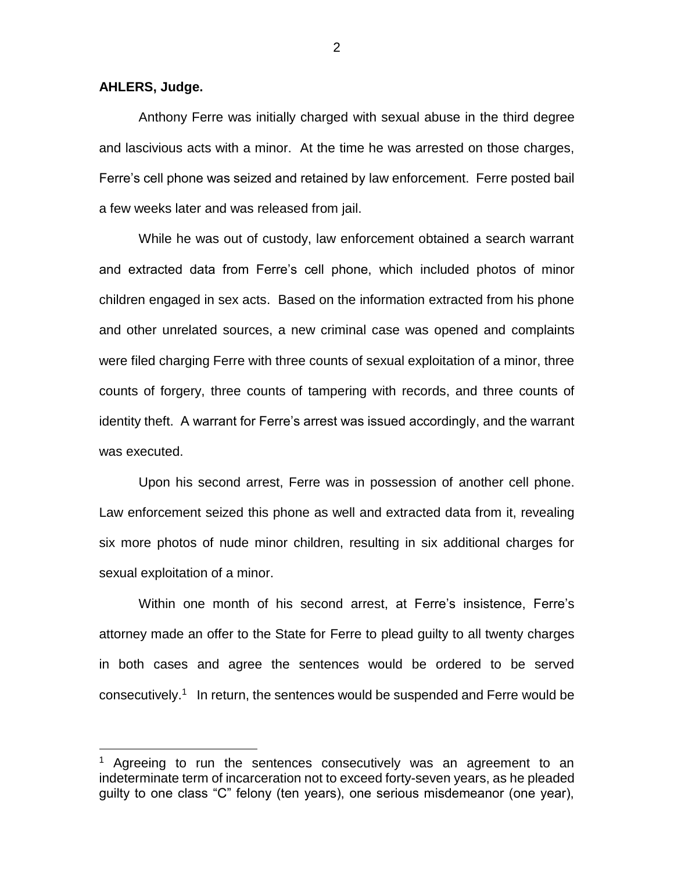**AHLERS, Judge.**

 $\overline{a}$ 

Anthony Ferre was initially charged with sexual abuse in the third degree and lascivious acts with a minor. At the time he was arrested on those charges, Ferre's cell phone was seized and retained by law enforcement. Ferre posted bail a few weeks later and was released from jail.

While he was out of custody, law enforcement obtained a search warrant and extracted data from Ferre's cell phone, which included photos of minor children engaged in sex acts. Based on the information extracted from his phone and other unrelated sources, a new criminal case was opened and complaints were filed charging Ferre with three counts of sexual exploitation of a minor, three counts of forgery, three counts of tampering with records, and three counts of identity theft. A warrant for Ferre's arrest was issued accordingly, and the warrant was executed.

Upon his second arrest, Ferre was in possession of another cell phone. Law enforcement seized this phone as well and extracted data from it, revealing six more photos of nude minor children, resulting in six additional charges for sexual exploitation of a minor.

Within one month of his second arrest, at Ferre's insistence, Ferre's attorney made an offer to the State for Ferre to plead guilty to all twenty charges in both cases and agree the sentences would be ordered to be served consecutively.<sup>1</sup> In return, the sentences would be suspended and Ferre would be

Agreeing to run the sentences consecutively was an agreement to an indeterminate term of incarceration not to exceed forty-seven years, as he pleaded guilty to one class "C" felony (ten years), one serious misdemeanor (one year),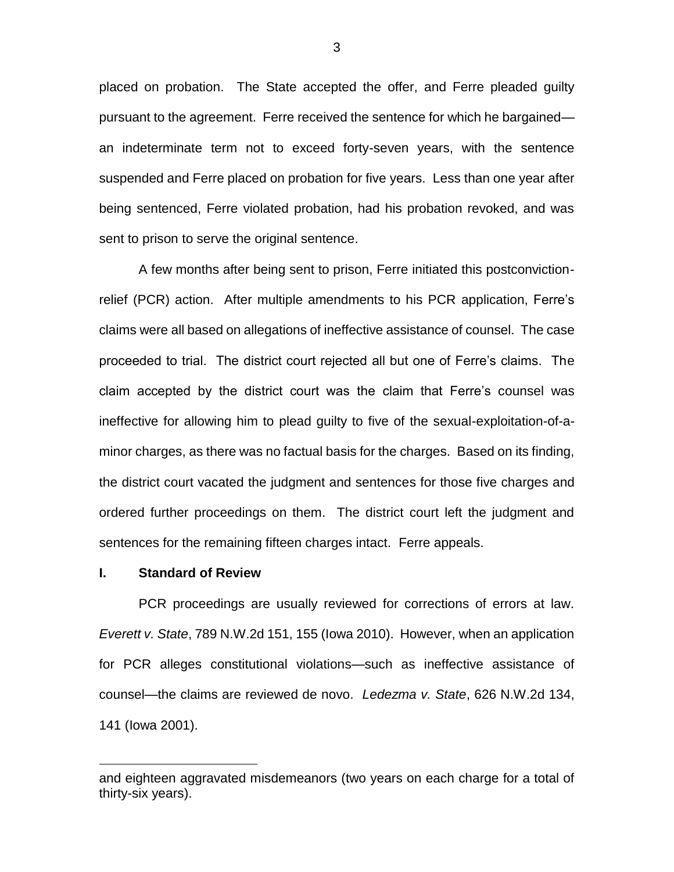placed on probation. The State accepted the offer, and Ferre pleaded guilty pursuant to the agreement. Ferre received the sentence for which he bargained an indeterminate term not to exceed forty-seven years, with the sentence suspended and Ferre placed on probation for five years. Less than one year after being sentenced, Ferre violated probation, had his probation revoked, and was sent to prison to serve the original sentence.

A few months after being sent to prison, Ferre initiated this postconvictionrelief (PCR) action. After multiple amendments to his PCR application, Ferre's claims were all based on allegations of ineffective assistance of counsel. The case proceeded to trial. The district court rejected all but one of Ferre's claims. The claim accepted by the district court was the claim that Ferre's counsel was ineffective for allowing him to plead guilty to five of the sexual-exploitation-of-aminor charges, as there was no factual basis for the charges. Based on its finding, the district court vacated the judgment and sentences for those five charges and ordered further proceedings on them. The district court left the judgment and sentences for the remaining fifteen charges intact. Ferre appeals.

#### **I. Standard of Review**

 $\overline{a}$ 

PCR proceedings are usually reviewed for corrections of errors at law. *Everett v. State*, 789 N.W.2d 151, 155 (Iowa 2010). However, when an application for PCR alleges constitutional violations—such as ineffective assistance of counsel—the claims are reviewed de novo. *Ledezma v. State*, 626 N.W.2d 134, 141 (Iowa 2001).

and eighteen aggravated misdemeanors (two years on each charge for a total of thirty-six years).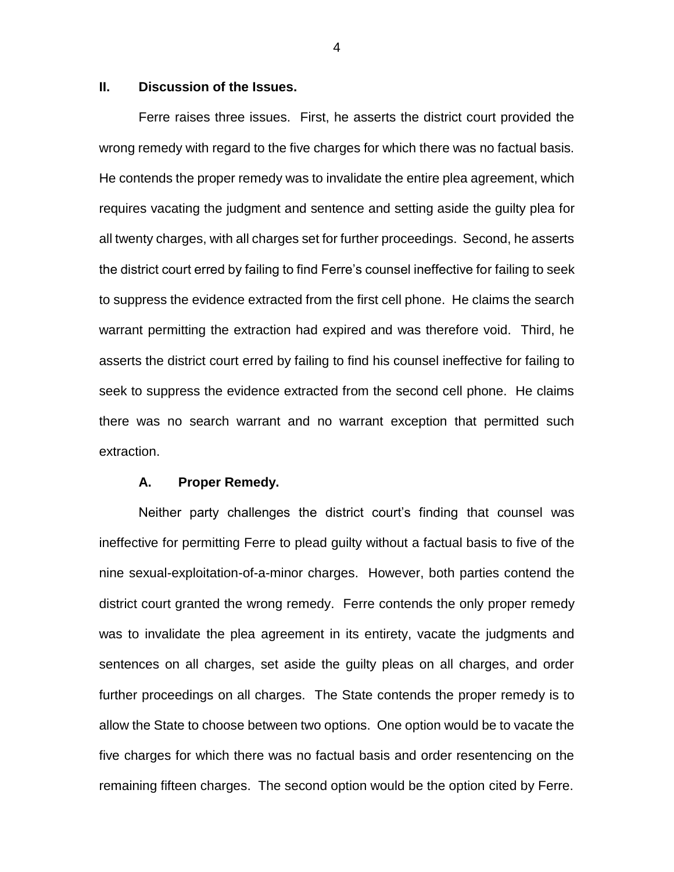## **II. Discussion of the Issues.**

Ferre raises three issues. First, he asserts the district court provided the wrong remedy with regard to the five charges for which there was no factual basis. He contends the proper remedy was to invalidate the entire plea agreement, which requires vacating the judgment and sentence and setting aside the guilty plea for all twenty charges, with all charges set for further proceedings. Second, he asserts the district court erred by failing to find Ferre's counsel ineffective for failing to seek to suppress the evidence extracted from the first cell phone. He claims the search warrant permitting the extraction had expired and was therefore void. Third, he asserts the district court erred by failing to find his counsel ineffective for failing to seek to suppress the evidence extracted from the second cell phone. He claims there was no search warrant and no warrant exception that permitted such extraction.

#### **A. Proper Remedy.**

Neither party challenges the district court's finding that counsel was ineffective for permitting Ferre to plead guilty without a factual basis to five of the nine sexual-exploitation-of-a-minor charges. However, both parties contend the district court granted the wrong remedy. Ferre contends the only proper remedy was to invalidate the plea agreement in its entirety, vacate the judgments and sentences on all charges, set aside the guilty pleas on all charges, and order further proceedings on all charges. The State contends the proper remedy is to allow the State to choose between two options. One option would be to vacate the five charges for which there was no factual basis and order resentencing on the remaining fifteen charges. The second option would be the option cited by Ferre.

4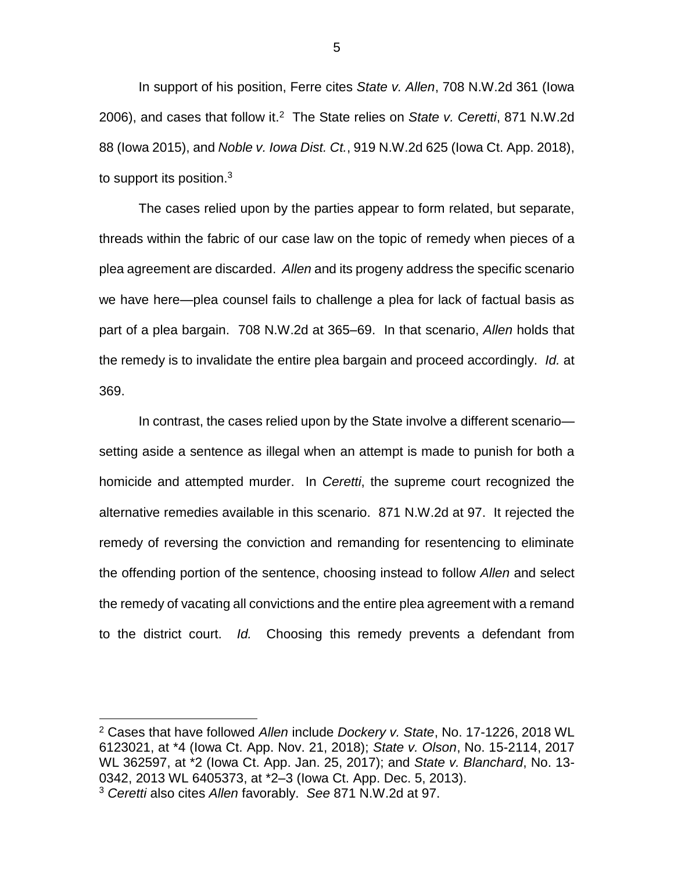In support of his position, Ferre cites *State v. Allen*, 708 N.W.2d 361 (Iowa 2006), and cases that follow it.<sup>2</sup> The State relies on State v. Ceretti, 871 N.W.2d 88 (Iowa 2015), and *Noble v. Iowa Dist. Ct.*, 919 N.W.2d 625 (Iowa Ct. App. 2018), to support its position. $3$ 

The cases relied upon by the parties appear to form related, but separate, threads within the fabric of our case law on the topic of remedy when pieces of a plea agreement are discarded. *Allen* and its progeny address the specific scenario we have here—plea counsel fails to challenge a plea for lack of factual basis as part of a plea bargain. 708 N.W.2d at 365–69. In that scenario, *Allen* holds that the remedy is to invalidate the entire plea bargain and proceed accordingly. *Id.* at 369.

In contrast, the cases relied upon by the State involve a different scenario setting aside a sentence as illegal when an attempt is made to punish for both a homicide and attempted murder. In *Ceretti*, the supreme court recognized the alternative remedies available in this scenario. 871 N.W.2d at 97. It rejected the remedy of reversing the conviction and remanding for resentencing to eliminate the offending portion of the sentence, choosing instead to follow *Allen* and select the remedy of vacating all convictions and the entire plea agreement with a remand to the district court. *Id.* Choosing this remedy prevents a defendant from

 $\overline{a}$ 

<sup>2</sup> Cases that have followed *Allen* include *Dockery v. State*, No. 17-1226, 2018 WL 6123021, at \*4 (Iowa Ct. App. Nov. 21, 2018); *State v. Olson*, No. 15-2114, 2017 WL 362597, at \*2 (Iowa Ct. App. Jan. 25, 2017); and *State v. Blanchard*, No. 13- 0342, 2013 WL 6405373, at \*2–3 (Iowa Ct. App. Dec. 5, 2013). <sup>3</sup> *Ceretti* also cites *Allen* favorably. *See* 871 N.W.2d at 97.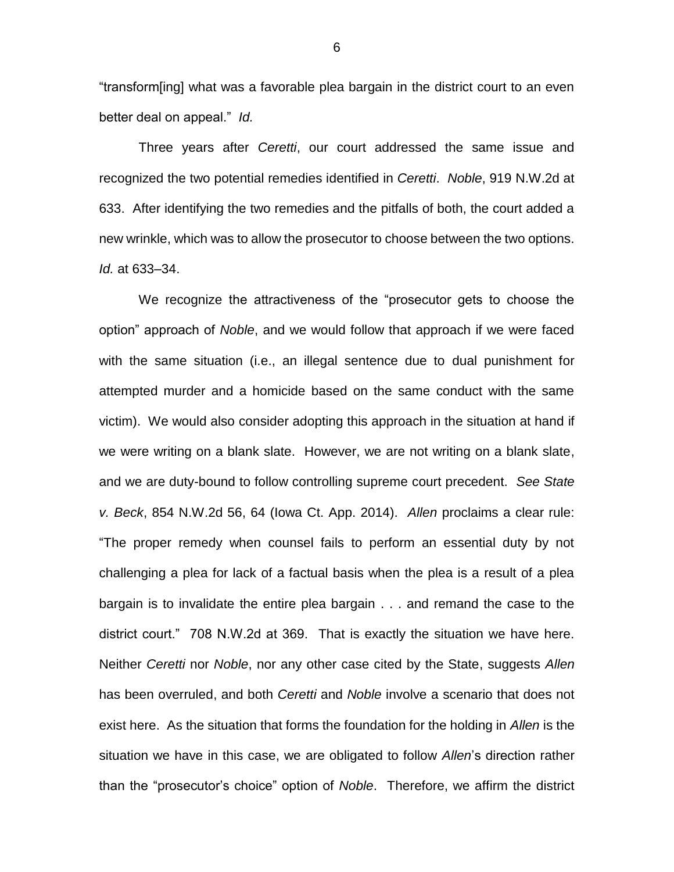"transform[ing] what was a favorable plea bargain in the district court to an even better deal on appeal." *Id.*

Three years after *Ceretti*, our court addressed the same issue and recognized the two potential remedies identified in *Ceretti*. *Noble*, 919 N.W.2d at 633. After identifying the two remedies and the pitfalls of both, the court added a new wrinkle, which was to allow the prosecutor to choose between the two options. *Id.* at 633–34.

We recognize the attractiveness of the "prosecutor gets to choose the option" approach of *Noble*, and we would follow that approach if we were faced with the same situation (i.e., an illegal sentence due to dual punishment for attempted murder and a homicide based on the same conduct with the same victim). We would also consider adopting this approach in the situation at hand if we were writing on a blank slate. However, we are not writing on a blank slate, and we are duty-bound to follow controlling supreme court precedent. *See State v. Beck*, 854 N.W.2d 56, 64 (Iowa Ct. App. 2014). *Allen* proclaims a clear rule: "The proper remedy when counsel fails to perform an essential duty by not challenging a plea for lack of a factual basis when the plea is a result of a plea bargain is to invalidate the entire plea bargain . . . and remand the case to the district court." 708 N.W.2d at 369. That is exactly the situation we have here. Neither *Ceretti* nor *Noble*, nor any other case cited by the State, suggests *Allen* has been overruled, and both *Ceretti* and *Noble* involve a scenario that does not exist here. As the situation that forms the foundation for the holding in *Allen* is the situation we have in this case, we are obligated to follow *Allen*'s direction rather than the "prosecutor's choice" option of *Noble*. Therefore, we affirm the district

6